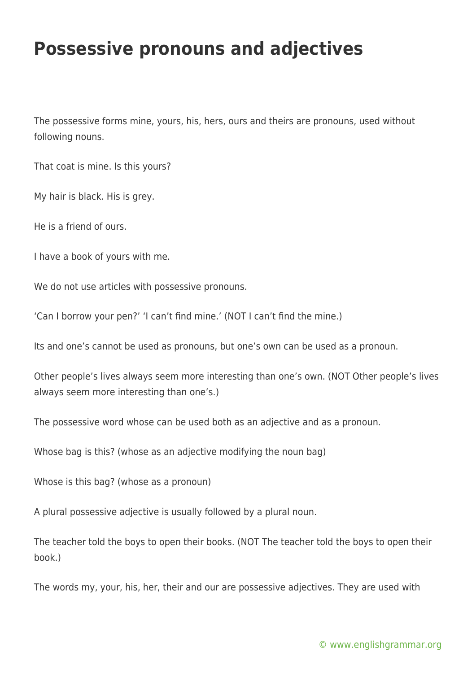## **Possessive pronouns and adjectives**

The possessive forms mine, yours, his, hers, ours and theirs are pronouns, used without following nouns.

That coat is mine. Is this yours?

My hair is black. His is grey.

He is a friend of ours.

I have a book of yours with me.

We do not use articles with possessive pronouns.

'Can I borrow your pen?' 'I can't find mine.' (NOT I can't find the mine.)

Its and one's cannot be used as pronouns, but one's own can be used as a pronoun.

Other people's lives always seem more interesting than one's own. (NOT Other people's lives always seem more interesting than one's.)

The possessive word whose can be used both as an adjective and as a pronoun.

Whose bag is this? (whose as an adjective modifying the noun bag)

Whose is this bag? (whose as a pronoun)

A plural possessive adjective is usually followed by a plural noun.

The teacher told the boys to open their books. (NOT The teacher told the boys to open their book.)

The words my, your, his, her, their and our are possessive adjectives. They are used with